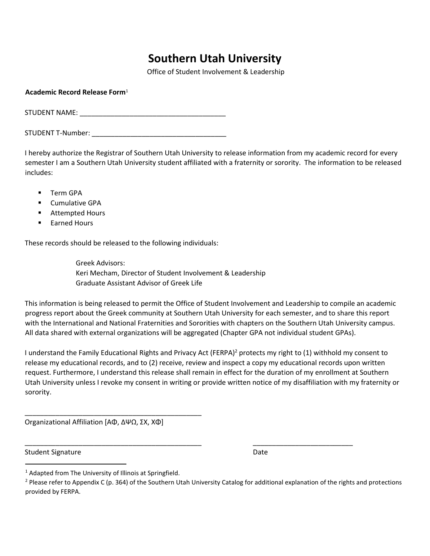## **Southern Utah University**

Office of Student Involvement & Leadership

| Academic Record Release Form <sup>1</sup> |  |  |  |  |
|-------------------------------------------|--|--|--|--|
| <b>STUDENT NAME:</b>                      |  |  |  |  |

STUDENT T-Number: \_\_\_\_\_\_\_\_\_\_\_\_\_\_\_\_\_\_\_\_\_\_\_\_\_\_\_\_\_\_\_\_\_\_\_

I hereby authorize the Registrar of Southern Utah University to release information from my academic record for every semester I am a Southern Utah University student affiliated with a fraternity or sorority. The information to be released includes:

- **Term GPA**
- **E** Cumulative GPA
- **E** Attempted Hours
- Earned Hours

These records should be released to the following individuals:

Greek Advisors: Keri Mecham, Director of Student Involvement & Leadership Graduate Assistant Advisor of Greek Life

This information is being released to permit the Office of Student Involvement and Leadership to compile an academic progress report about the Greek community at Southern Utah University for each semester, and to share this report with the International and National Fraternities and Sororities with chapters on the Southern Utah University campus. All data shared with external organizations will be aggregated (Chapter GPA not individual student GPAs).

I understand the Family Educational Rights and Privacy Act (FERPA)<sup>2</sup> protects my right to (1) withhold my consent to release my educational records, and to (2) receive, review and inspect a copy my educational records upon written request. Furthermore, I understand this release shall remain in effect for the duration of my enrollment at Southern Utah University unless I revoke my consent in writing or provide written notice of my disaffiliation with my fraternity or sorority.

Organizational Affiliation [AΦ, ΔΨΩ, ΣΧ, XΦ]

\_\_\_\_\_\_\_\_\_\_\_\_\_\_\_\_\_\_\_\_\_\_\_\_\_\_\_\_\_\_\_\_\_\_\_\_\_\_\_\_\_\_\_\_\_\_

Student Signature Date Date Date

 $\overline{a}$ 

\_\_\_\_\_\_\_\_\_\_\_\_\_\_\_\_\_\_\_\_\_\_\_\_\_\_\_\_\_\_\_\_\_\_\_\_\_\_\_\_\_\_\_\_\_\_ \_\_\_\_\_\_\_\_\_\_\_\_\_\_\_\_\_\_\_\_\_\_\_\_\_\_

 $1$  Adapted from The University of Illinois at Springfield.

<sup>&</sup>lt;sup>2</sup> Please refer to Appendix C (p. 364) of the Southern Utah University Catalog for additional explanation of the rights and protections provided by FERPA.